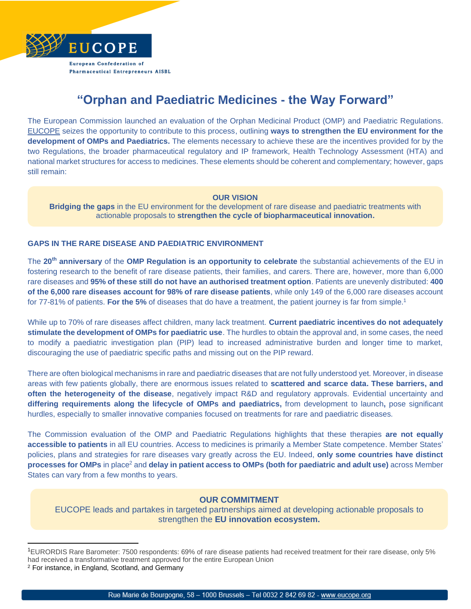

# **"Orphan and Paediatric Medicines - the Way Forward"**

The European Commission launched an evaluation of the Orphan Medicinal Product (OMP) and Paediatric Regulations. [EUCOPE](https://www.eucope.org/) seizes the opportunity to contribute to this process, outlining **ways to strengthen the EU environment for the development of OMPs and Paediatrics.** The elements necessary to achieve these are the incentives provided for by the two Regulations, the broader pharmaceutical regulatory and IP framework, Health Technology Assessment (HTA) and national market structures for access to medicines. These elements should be coherent and complementary; however, gaps still remain:

## **OUR VISION**

**Bridging the gaps** in the EU environment for the development of rare disease and paediatric treatments with actionable proposals to **strengthen the cycle of biopharmaceutical innovation.**

## **GAPS IN THE RARE DISEASE AND PAEDIATRIC ENVIRONMENT**

The **20th anniversary** of the **OMP Regulation is an opportunity to celebrate** the substantial achievements of the EU in fostering research to the benefit of rare disease patients, their families, and carers. There are, however, more than 6,000 rare diseases and **95% of these still do not have an authorised treatment option**. Patients are unevenly distributed: **400 of the 6,000 rare diseases account for 98% of rare disease patients**, while only 149 of the 6,000 rare diseases account for 77-81% of patients. **For the 5%** of diseases that do have a treatment, the patient journey is far from simple. 1

While up to 70% of rare diseases affect children, many lack treatment. **Current paediatric incentives do not adequately stimulate the development of OMPs for paediatric use**. The hurdles to obtain the approval and, in some cases, the need to modify a paediatric investigation plan (PIP) lead to increased administrative burden and longer time to market, discouraging the use of paediatric specific paths and missing out on the PIP reward.

There are often biological mechanisms in rare and paediatric diseases that are not fully understood yet. Moreover, in disease areas with few patients globally, there are enormous issues related to **scattered and scarce data. These barriers, and often the heterogeneity of the disease**, negatively impact R&D and regulatory approvals. Evidential uncertainty and **differing requirements along the lifecycle of OMPs and paediatrics,** from development to launch**,** pose significant hurdles, especially to smaller innovative companies focused on treatments for rare and paediatric diseases.

The Commission evaluation of the OMP and Paediatric Regulations highlights that these therapies **are not equally accessible to patients** in all EU countries. Access to medicines is primarily a Member State competence. Member States' policies, plans and strategies for rare diseases vary greatly across the EU. Indeed, **only some countries have distinct processes for OMPs** in place<sup>2</sup> and **delay in patient access to OMPs (both for paediatric and adult use)** across Member States can vary from a few months to years.

## **OUR COMMITMENT**

EUCOPE leads and partakes in targeted partnerships aimed at developing actionable proposals to strengthen the **EU innovation ecosystem.** 

<sup>1</sup>EURORDIS Rare Barometer: 7500 respondents: 69% of rare disease patients had received treatment for their rare disease, only 5% had received a transformative treatment approved for the entire European Union <sup>2</sup> For instance, in England, Scotland, and Germany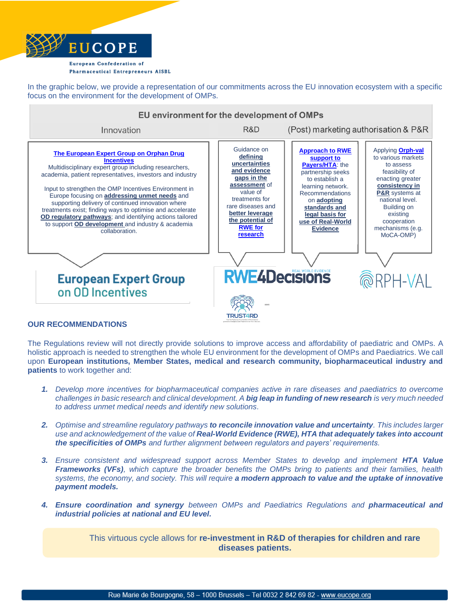

In the graphic below, we provide a representation of our commitments across the EU innovation ecosystem with a specific focus on the environment for the development of OMPs.



## **OUR RECOMMENDATIONS**

The Regulations review will not directly provide solutions to improve access and affordability of paediatric and OMPs. A holistic approach is needed to strengthen the whole EU environment for the development of OMPs and Paediatrics. We call upon **European institutions, Member States, medical and research community, biopharmaceutical industry and patients** to work together and:

- *1. Develop more incentives for biopharmaceutical companies active in rare diseases and paediatrics to overcome challenges in basic research and clinical development. A big leap in funding of new research is very much needed to address unmet medical needs and identify new solutions.*
- *2. Optimise and streamline regulatory pathways to reconcile innovation value and uncertainty. This includes larger use and acknowledgement of the value of Real-World Evidence (RWE), HTA that adequately takes into account the specificities of OMPs and further alignment between regulators and payers' requirements.*
- **3.** *Ensure consistent and widespread support across Member States to develop and implement HTA Value Frameworks (VFs), which capture the broader benefits the OMPs bring to patients and their families, health systems, the economy, and society. This will require a modern approach to value and the uptake of innovative payment models.*
- *4. Ensure coordination and synergy between OMPs and Paediatrics Regulations and pharmaceutical and industrial policies at national and EU level.*

This virtuous cycle allows for **re-investment in R&D of therapies for children and rare diseases patients.**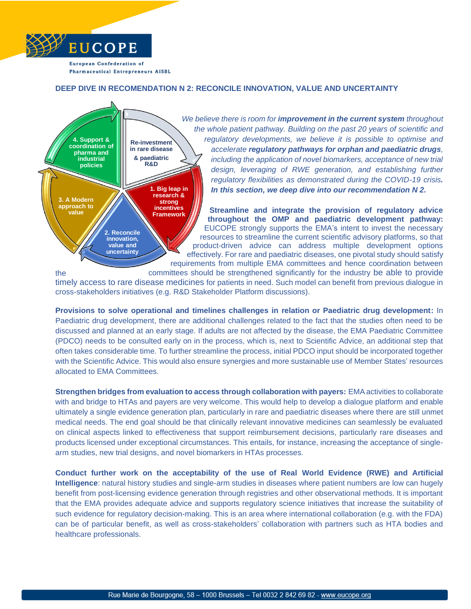

## **DEEP DIVE IN RECOMENDATION N 2: RECONCILE INNOVATION, VALUE AND UNCERTAINTY**



*We believe there is room for improvement in the current system throughout the whole patient pathway. Building on the past 20 years of scientific and regulatory developments, we believe it is possible to optimise and accelerate regulatory pathways for orphan and paediatric drugs, including the application of novel biomarkers, acceptance of new trial design, leveraging of RWE generation, and establishing further regulatory flexibilities as demonstrated during the COVID-19 crisis. In this section, we deep dive into our recommendation N 2.*

**Streamline and integrate the provision of regulatory advice throughout the OMP and paediatric development pathway:**  EUCOPE strongly supports the EMA's intent to invest the necessary resources to streamline the current scientific advisory platforms, so that product-driven advice can address multiple development options effectively. For rare and paediatric diseases, one pivotal study should satisfy requirements from multiple EMA committees and hence coordination between

the committees should be strengthened significantly for the industry be able to provide

timely access to rare disease medicines for patients in need. Such model can benefit from previous dialogue in cross-stakeholders initiatives (e.g. R&D Stakeholder Platform discussions).

**Provisions to solve operational and timelines challenges in relation or Paediatric drug development:** In Paediatric drug development, there are additional challenges related to the fact that the studies often need to be discussed and planned at an early stage. If adults are not affected by the disease, the EMA Paediatric Committee (PDCO) needs to be consulted early on in the process, which is, next to Scientific Advice, an additional step that often takes considerable time. To further streamline the process, initial PDCO input should be incorporated together with the Scientific Advice. This would also ensure synergies and more sustainable use of Member States' resources allocated to EMA Committees.

**Strengthen bridges from evaluation to access through collaboration with payers:** EMA activities to collaborate with and bridge to HTAs and payers are very welcome. This would help to develop a dialogue platform and enable ultimately a single evidence generation plan, particularly in rare and paediatric diseases where there are still unmet medical needs. The end goal should be that clinically relevant innovative medicines can seamlessly be evaluated on clinical aspects linked to effectiveness that support reimbursement decisions, particularly rare diseases and products licensed under exceptional circumstances. This entails, for instance, increasing the acceptance of singlearm studies, new trial designs, and novel biomarkers in HTAs processes.

**Conduct further work on the acceptability of the use of Real World Evidence (RWE) and Artificial Intelligence**: natural history studies and single-arm studies in diseases where patient numbers are low can hugely benefit from post-licensing evidence generation through registries and other observational methods. It is important that the EMA provides adequate advice and supports regulatory science initiatives that increase the suitability of such evidence for regulatory decision-making. This is an area where international collaboration (e.g. with the FDA) can be of particular benefit, as well as cross-stakeholders' collaboration with partners such as HTA bodies and healthcare professionals.